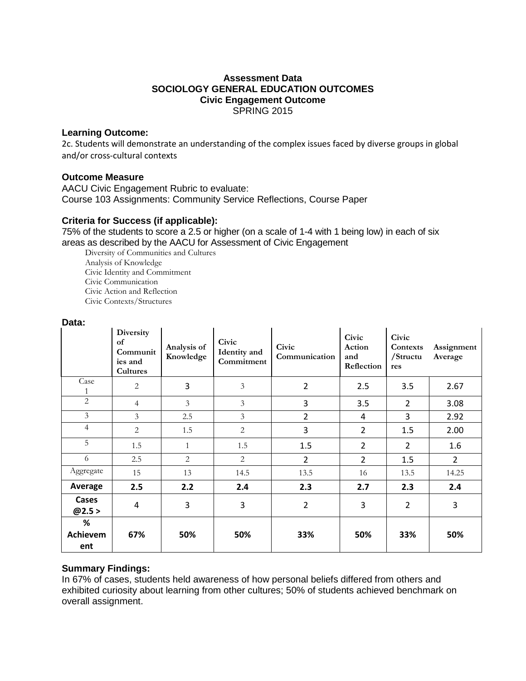### **Assessment Data SOCIOLOGY GENERAL EDUCATION OUTCOMES Civic Engagement Outcome** SPRING 2015

#### **Learning Outcome:**

2c. Students will demonstrate an understanding of the complex issues faced by diverse groups in global and/or cross-cultural contexts

### **Outcome Measure**

AACU Civic Engagement Rubric to evaluate: Course 103 Assignments: Community Service Reflections, Course Paper

## **Criteria for Success (if applicable):**

75% of the students to score a 2.5 or higher (on a scale of 1-4 with 1 being low) in each of six areas as described by the AACU for Assessment of Civic Engagement

Diversity of Communities and Cultures Analysis of Knowledge Civic Identity and Commitment Civic Communication Civic Action and Reflection Civic Contexts/Structures

#### **Data:**

|                             | Diversity<br>of<br>Communit<br>ies and<br>Cultures | Analysis of<br>Knowledge | Civic<br>Identity and<br>Commitment | Civic<br>Communication | Civic<br>Action<br>and<br>Reflection | Civic<br>Contexts<br>/Structu<br>res | Assignment<br>Average |
|-----------------------------|----------------------------------------------------|--------------------------|-------------------------------------|------------------------|--------------------------------------|--------------------------------------|-----------------------|
| Case<br>1                   | $\overline{c}$                                     | 3                        | $\mathfrak{Z}$                      | $\overline{2}$         | 2.5                                  | 3.5                                  | 2.67                  |
| $\overline{2}$              | 4                                                  | 3                        | $\mathfrak{Z}$                      | 3                      | 3.5                                  | $\overline{2}$                       | 3.08                  |
| $\mathfrak{Z}$              | 3                                                  | 2.5                      | $\overline{3}$                      | $\overline{2}$         | $\overline{4}$                       | 3                                    | 2.92                  |
| $\overline{4}$              | $\overline{2}$                                     | 1.5                      | $\overline{2}$                      | 3                      | $\overline{2}$                       | 1.5                                  | 2.00                  |
| 5                           | 1.5                                                | $\mathbf{1}$             | 1.5                                 | 1.5                    | $\overline{2}$                       | $\overline{2}$                       | 1.6                   |
| 6                           | 2.5                                                | $\overline{2}$           | $\overline{2}$                      | $\overline{2}$         | $\overline{2}$                       | 1.5                                  | $\overline{2}$        |
| Aggregate                   | 15                                                 | 13                       | 14.5                                | 13.5                   | 16                                   | 13.5                                 | 14.25                 |
| Average                     | 2.5                                                | 2.2                      | 2.4                                 | 2.3                    | 2.7                                  | 2.3                                  | 2.4                   |
| Cases<br>@2.5>              | $\overline{4}$                                     | 3                        | 3                                   | $\overline{2}$         | 3                                    | $\overline{2}$                       | 3                     |
| %<br><b>Achievem</b><br>ent | 67%                                                | 50%                      | 50%                                 | 33%                    | 50%                                  | 33%                                  | 50%                   |

### **Summary Findings:**

In 67% of cases, students held awareness of how personal beliefs differed from others and exhibited curiosity about learning from other cultures; 50% of students achieved benchmark on overall assignment.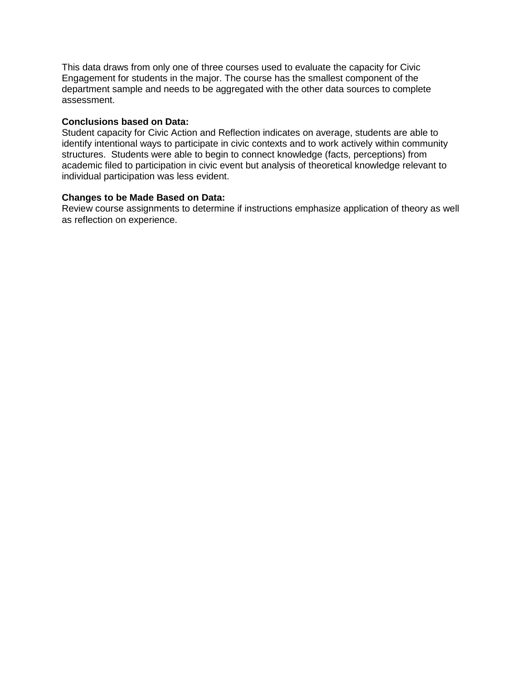This data draws from only one of three courses used to evaluate the capacity for Civic Engagement for students in the major. The course has the smallest component of the department sample and needs to be aggregated with the other data sources to complete assessment.

### **Conclusions based on Data:**

Student capacity for Civic Action and Reflection indicates on average, students are able to identify intentional ways to participate in civic contexts and to work actively within community structures. Students were able to begin to connect knowledge (facts, perceptions) from academic filed to participation in civic event but analysis of theoretical knowledge relevant to individual participation was less evident.

#### **Changes to be Made Based on Data:**

Review course assignments to determine if instructions emphasize application of theory as well as reflection on experience.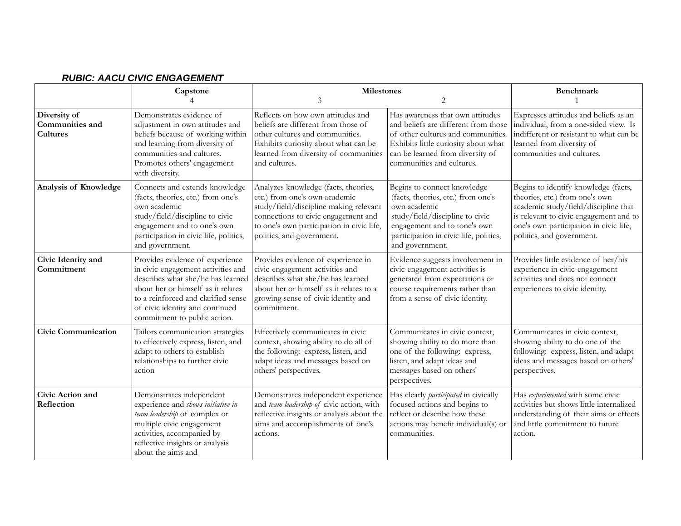#### **Capstone** 4 **Milestones** 3 2 **Benchmark** 1 **Diversity of Communities and Cultures** Demonstrates evidence of adjustment in own attitudes and beliefs because of working within and learning from diversity of communities and cultures. Promotes others' engagement with diversity. Reflects on how own attitudes and beliefs are different from those of other cultures and communities. Exhibits curiosity about what can be learned from diversity of communities and cultures. Has awareness that own attitudes and beliefs are different from those of other cultures and communities. Exhibits little curiosity about what can be learned from diversity of communities and cultures. Expresses attitudes and beliefs as an individual, from a one-sided view. Is indifferent or resistant to what can be learned from diversity of communities and cultures. **Analysis of Knowledge** Connects and extends knowledge (facts, theories, etc.) from one's own academic study/field/discipline to civic engagement and to one's own participation in civic life, politics, and government. Analyzes knowledge (facts, theories, etc.) from one's own academic study/field/discipline making relevant connections to civic engagement and to one's own participation in civic life, politics, and government. Begins to connect knowledge (facts, theories, etc.) from one's own academic study/field/discipline to civic engagement and to tone's own participation in civic life, politics, and government. Begins to identify knowledge (facts, theories, etc.) from one's own academic study/field/discipline that is relevant to civic engagement and to one's own participation in civic life, politics, and government. **Civic Identity and Commitment** Provides evidence of experience in civic-engagement activities and describes what she/he has learned about her or himself as it relates to a reinforced and clarified sense of civic identity and continued commitment to public action. Provides evidence of experience in civic-engagement activities and describes what she/he has learned about her or himself as it relates to a growing sense of civic identity and commitment. Evidence suggests involvement in civic-engagement activities is generated from expectations or course requirements rather than from a sense of civic identity. Provides little evidence of her/his experience in civic-engagement activities and does not connect experiences to civic identity. **Civic Communication** Tailors communication strategies to effectively express, listen, and adapt to others to establish relationships to further civic action Effectively communicates in civic context, showing ability to do all of the following: express, listen, and adapt ideas and messages based on others' perspectives. Communicates in civic context, showing ability to do more than one of the following: express, listen, and adapt ideas and messages based on others' perspectives. Communicates in civic context, showing ability to do one of the following: express, listen, and adapt ideas and messages based on others' perspectives. **Civic Action and Reflection** Demonstrates independent experience and *shows initiative in team leadership* of complex or multiple civic engagement activities, accompanied by reflective insights or analysis about the aims and Demonstrates independent experience and *team leadership of* civic action, with reflective insights or analysis about the aims and accomplishments of one's actions. Has clearly *participated* in civically focused actions and begins to reflect or describe how these actions may benefit individual(s) or communities. Has *experimented* with some civic activities but shows little internalized understanding of their aims or effects and little commitment to future action.

#### *RUBIC: AACU CIVIC ENGAGEMENT*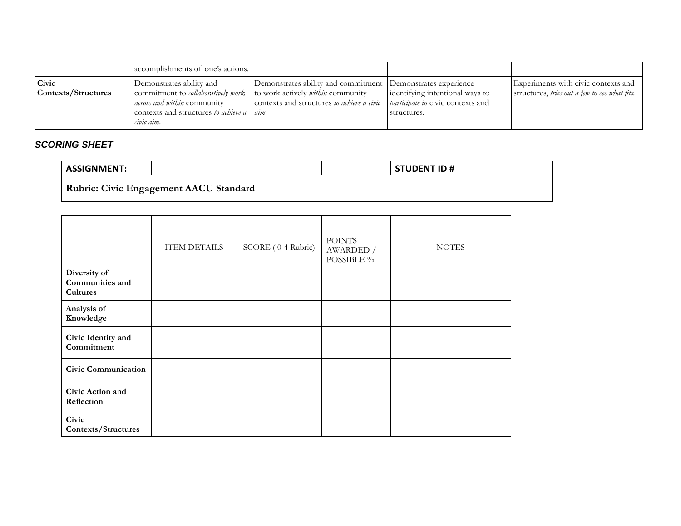|                              | accomplishments of one's actions.                                                                                                                                 |                                                                                                                                                               |                                                                                           |                                                                                      |
|------------------------------|-------------------------------------------------------------------------------------------------------------------------------------------------------------------|---------------------------------------------------------------------------------------------------------------------------------------------------------------|-------------------------------------------------------------------------------------------|--------------------------------------------------------------------------------------|
| Civic<br>Contexts/Structures | Demonstrates ability and<br>commitment to <i>collaboratively work</i><br><i>across and within</i> community<br>contexts and structures to achieve a<br>civic aim. | Demonstrates ability and commitment Demonstrates experience<br>to work actively <i>within</i> community<br>contexts and structures to achieve a civic<br>aim. | dentifying intentional ways to<br><i>barticipate in civic contexts and</i><br>structures. | Experiments with civic contexts and<br>structures, tries out a few to see what fits. |

# *SCORING SHEET*

| <b>ASSIGNMENT:</b>                            |  | <b>STUDENT ID#</b> |  |
|-----------------------------------------------|--|--------------------|--|
| <b>Rubric: Civic Engagement AACU Standard</b> |  |                    |  |

|                                                    | <b>ITEM DETAILS</b> | SCORE (0-4 Rubric) | <b>POINTS</b><br>AWARDED /<br>POSSIBLE % | <b>NOTES</b> |
|----------------------------------------------------|---------------------|--------------------|------------------------------------------|--------------|
| Diversity of<br>Communities and<br><b>Cultures</b> |                     |                    |                                          |              |
| Analysis of<br>Knowledge                           |                     |                    |                                          |              |
| Civic Identity and<br>Commitment                   |                     |                    |                                          |              |
| <b>Civic Communication</b>                         |                     |                    |                                          |              |
| Civic Action and<br>Reflection                     |                     |                    |                                          |              |
| Civic<br>Contexts/Structures                       |                     |                    |                                          |              |